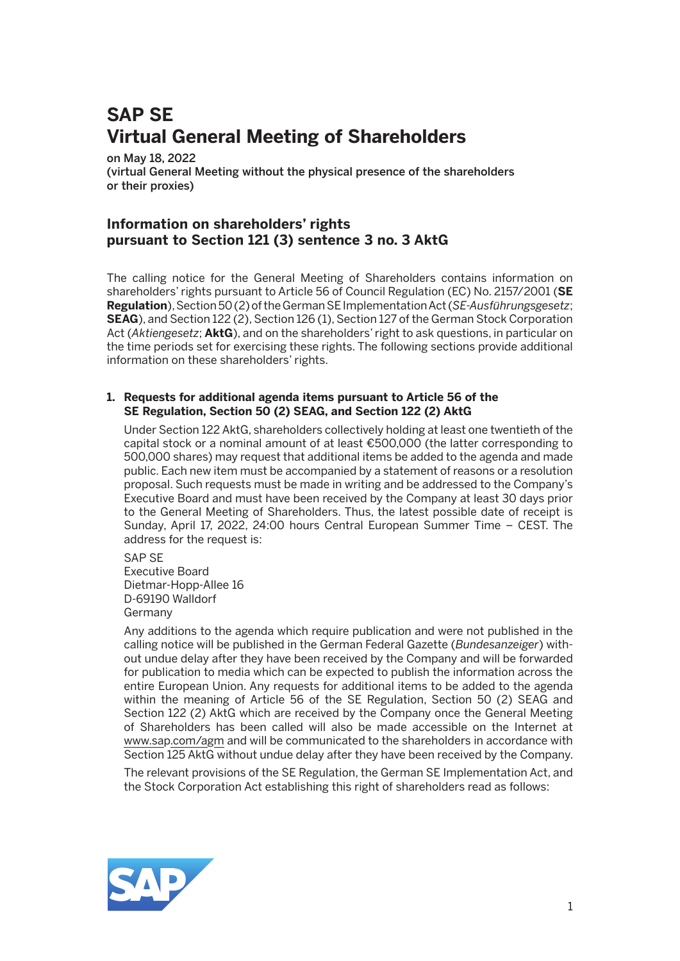# **SAP SE Virtual General Meeting of Shareholders**

#### on May 18, 2022

(virtual General Meeting without the physical presence of the shareholders or their proxies)

# **Information on shareholders' rights pursuant to Section 121 (3) sentence 3 no. 3 AktG**

The calling notice for the General Meeting of Shareholders contains information on shareholders' rights pursuant to Article 56 of Council Regulation (EC) No. 2157/2001 (**SE Regulation**), Section 50 (2) of the German SE Implementation Act (*SE-Ausführungsgesetz*; **SEAG**), and Section 122 (2), Section 126 (1), Section 127 of the German Stock Corporation Act (*Aktiengesetz*; **AktG**), and on the shareholders' right to ask questions, in particular on the time periods set for exercising these rights. The following sections provide additional information on these shareholders' rights.

#### **1. Requests for additional agenda items pursuant to Article 56 of the SE Regulation, Section 50 (2) SEAG, and Section 122 (2) AktG**

 Under Section 122 AktG, shareholders collectively holding at least one twentieth of the capital stock or a nominal amount of at least €500,000 (the latter corresponding to 500,000 shares) may request that additional items be added to the agenda and made public. Each new item must be accompanied by a statement of reasons or a resolution proposal. Such requests must be made in writing and be addressed to the Company's Executive Board and must have been received by the Company at least 30 days prior to the General Meeting of Shareholders. Thus, the latest possible date of receipt is Sunday, April 17, 2022, 24:00 hours Central European Summer Time – CEST. The address for the request is:

 SAP SE Executive Board Dietmar-Hopp-Allee 16 D-69190 Walldorf Germany

 Any additions to the agenda which require publication and were not published in the calling notice will be published in the German Federal Gazette (*Bundesanzeiger*) without undue delay after they have been received by the Company and will be forwarded for publication to media which can be expected to publish the information across the entire European Union. Any requests for additional items to be added to the agenda within the meaning of Article 56 of the SE Regulation, Section 50 (2) SEAG and Section 122 (2) AktG which are received by the Company once the General Meeting of Shareholders has been called will also be made accessible on the Internet at www.sap.com/agm and will be communicated to the shareholders in accordance with Section 125 AktG without undue delay after they have been received by the Company.

 The relevant provisions of the SE Regulation, the German SE Implementation Act, and the Stock Corporation Act establishing this right of shareholders read as follows:

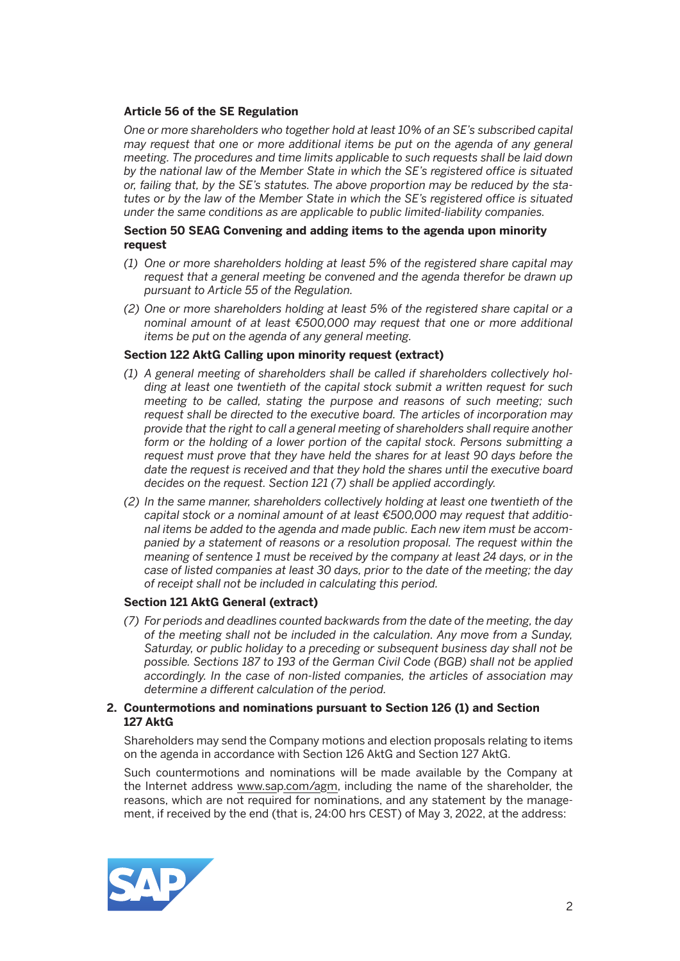# **Article 56 of the SE Regulation**

 *One or more shareholders who together hold at least 10% of an SE's subscribed capital may request that one or more additional items be put on the agenda of any general meeting. The procedures and time limits applicable to such requests shall be laid down by the national law of the Member State in which the SE's registered office is situated or, failing that, by the SE's statutes. The above proportion may be reduced by the statutes or by the law of the Member State in which the SE's registered office is situated under the same conditions as are applicable to public limited-liability companies.*

# **Section 50 SEAG Convening and adding items to the agenda upon minority request**

- *(1) One or more shareholders holding at least 5% of the registered share capital may request that a general meeting be convened and the agenda therefor be drawn up pursuant to Article 55 of the Regulation.*
- *(2) One or more shareholders holding at least 5% of the registered share capital or a nominal amount of at least €500,000 may request that one or more additional items be put on the agenda of any general meeting.*

### **Section 122 AktG Calling upon minority request (extract)**

- *(1) A general meeting of shareholders shall be called if shareholders collectively holding at least one twentieth of the capital stock submit a written request for such meeting to be called, stating the purpose and reasons of such meeting; such request shall be directed to the executive board. The articles of incorporation may provide that the right to call a general meeting of shareholders shall require another form or the holding of a lower portion of the capital stock. Persons submitting a request must prove that they have held the shares for at least 90 days before the date the request is received and that they hold the shares until the executive board decides on the request. Section 121 (7) shall be applied accordingly.*
- *(2) In the same manner, shareholders collectively holding at least one twentieth of the capital stock or a nominal amount of at least €500,000 may request that additional items be added to the agenda and made public. Each new item must be accompanied by a statement of reasons or a resolution proposal. The request within the meaning of sentence 1 must be received by the company at least 24 days, or in the case of listed companies at least 30 days, prior to the date of the meeting; the day of receipt shall not be included in calculating this period.*

#### **Section 121 AktG General (extract)**

*(7) For periods and deadlines counted backwards from the date of the meeting, the day of the meeting shall not be included in the calculation. Any move from a Sunday, Saturday, or public holiday to a preceding or subsequent business day shall not be possible. Sections 187 to 193 of the German Civil Code (BGB) shall not be applied accordingly. In the case of non-listed companies, the articles of association may determine a different calculation of the period.* 

# **2. Countermotions and nominations pursuant to Section 126 (1) and Section 127 AktG**

 Shareholders may send the Company motions and election proposals relating to items on the agenda in accordance with Section 126 AktG and Section 127 AktG.

 Such countermotions and nominations will be made available by the Company at the Internet address www.sap.com/agm, including the name of the shareholder, the reasons, which are not required for nominations, and any statement by the management, if received by the end (that is, 24:00 hrs CEST) of May 3, 2022, at the address:

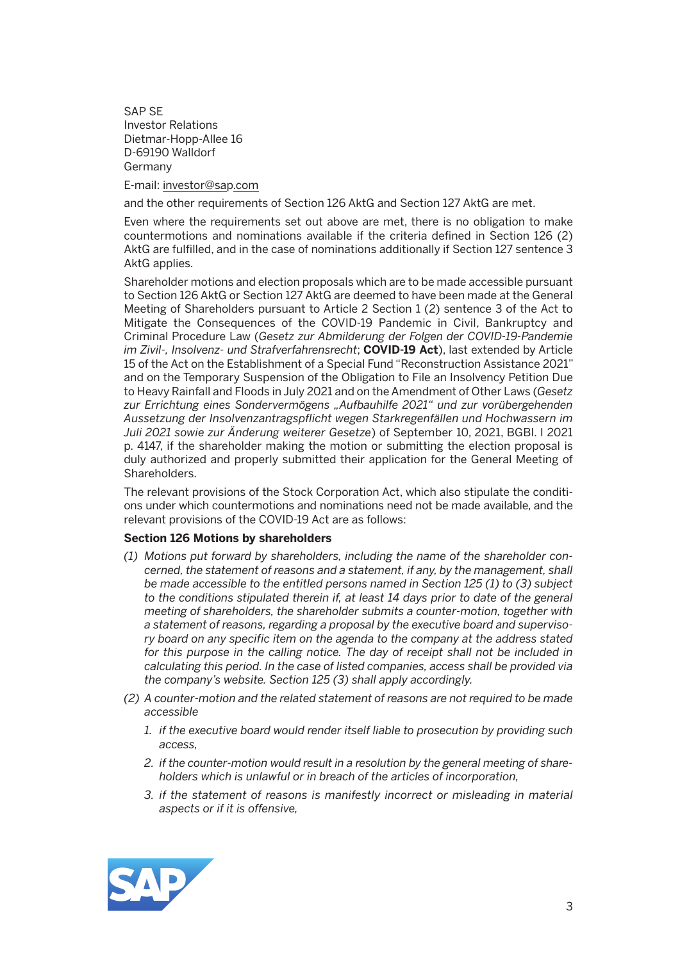SAP SE Investor Relations Dietmar-Hopp-Allee 16 D-69190 Walldorf Germany

E-mail: investor@sap.com

and the other requirements of Section 126 AktG and Section 127 AktG are met.

 Even where the requirements set out above are met, there is no obligation to make countermotions and nominations available if the criteria defined in Section 126 (2) AktG are fulfilled, and in the case of nominations additionally if Section 127 sentence 3 AktG applies.

 Shareholder motions and election proposals which are to be made accessible pursuant to Section 126 AktG or Section 127 AktG are deemed to have been made at the General Meeting of Shareholders pursuant to Article 2 Section 1 (2) sentence 3 of the Act to Mitigate the Consequences of the COVID-19 Pandemic in Civil, Bankruptcy and Criminal Procedure Law (*Gesetz zur Abmilderung der Folgen der COVID-19-Pandemie im Zivil-, Insolvenz- und Strafverfahrensrecht*; **COVID-19 Act**), last extended by Article 15 of the Act on the Establishment of a Special Fund "Reconstruction Assistance 2021" and on the Temporary Suspension of the Obligation to File an Insolvency Petition Due to Heavy Rainfall and Floods in July 2021 and on the Amendment of Other Laws (*Gesetz*  zur Errichtung eines Sondervermögens "Aufbauhilfe 2021" und zur vorübergehenden *Aussetzung der Insolvenzantragspflicht wegen Starkregenfällen und Hochwassern im Juli 2021 sowie zur Änderung weiterer Gesetze*) of September 10, 2021, BGBl. I 2021 p. 4147, if the shareholder making the motion or submitting the election proposal is duly authorized and properly submitted their application for the General Meeting of Shareholders.

 The relevant provisions of the Stock Corporation Act, which also stipulate the conditions under which countermotions and nominations need not be made available, and the relevant provisions of the COVID-19 Act are as follows:

#### **Section 126 Motions by shareholders**

- *(1) Motions put forward by shareholders, including the name of the shareholder concerned, the statement of reasons and a statement, if any, by the management, shall be made accessible to the entitled persons named in Section 125 (1) to (3) subject*  to the conditions stipulated therein if, at least 14 days prior to date of the general *meeting of shareholders, the shareholder submits a counter-motion, together with a statement of reasons, regarding a proposal by the executive board and supervisory board on any specific item on the agenda to the company at the address stated*  for this purpose in the calling notice. The day of receipt shall not be included in *calculating this period. In the case of listed companies, access shall be provided via the company's website. Section 125 (3) shall apply accordingly.*
- *(2) A counter-motion and the related statement of reasons are not required to be made accessible* 
	- *1. if the executive board would render itself liable to prosecution by providing such access,*
	- *2. if the counter-motion would result in a resolution by the general meeting of shareholders which is unlawful or in breach of the articles of incorporation,*
	- *3. if the statement of reasons is manifestly incorrect or misleading in material aspects or if it is offensive,*

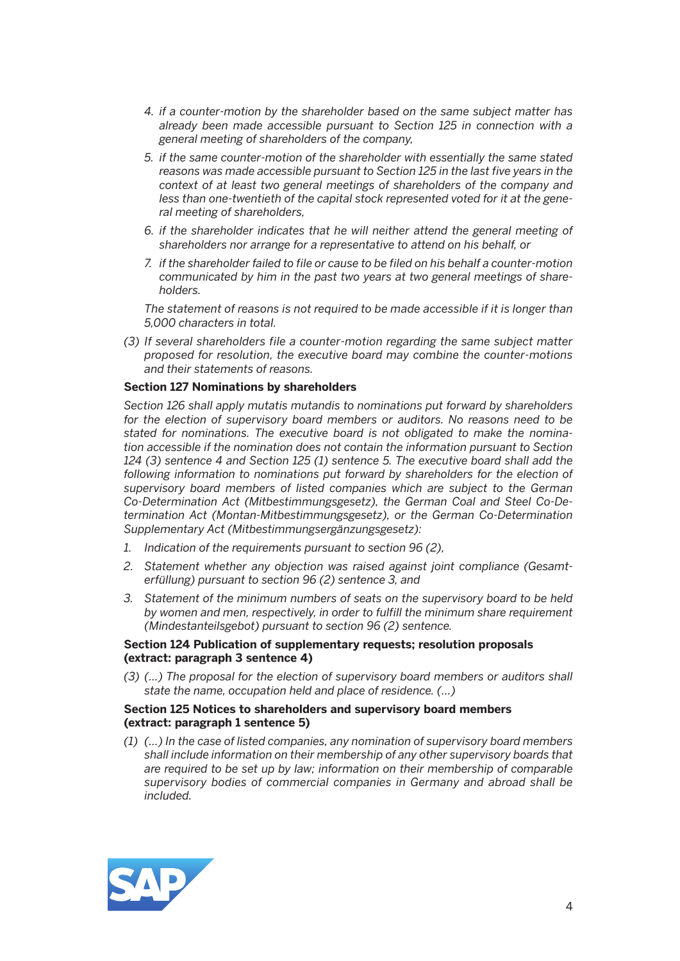- *4. if a counter-motion by the shareholder based on the same subject matter has already been made accessible pursuant to Section 125 in connection with a general meeting of shareholders of the company,*
- *5. if the same counter-motion of the shareholder with essentially the same stated reasons was made accessible pursuant to Section 125 in the last five years in the context of at least two general meetings of shareholders of the company and less than one-twentieth of the capital stock represented voted for it at the general meeting of shareholders,*
- *6. if the shareholder indicates that he will neither attend the general meeting of shareholders nor arrange for a representative to attend on his behalf, or*
- *7. if the shareholder failed to file or cause to be filed on his behalf a counter-motion communicated by him in the past two years at two general meetings of shareholders.*

 *The statement of reasons is not required to be made accessible if it is longer than 5,000 characters in total.* 

*(3) If several shareholders file a counter-motion regarding the same subject matter proposed for resolution, the executive board may combine the counter-motions and their statements of reasons.* 

#### **Section 127 Nominations by shareholders**

 *Section 126 shall apply mutatis mutandis to nominations put forward by shareholders for the election of supervisory board members or auditors. No reasons need to be stated for nominations. The executive board is not obligated to make the nomination accessible if the nomination does not contain the information pursuant to Section 124 (3) sentence 4 and Section 125 (1) sentence 5. The executive board shall add the*  following information to nominations put forward by shareholders for the election of *supervisory board members of listed companies which are subject to the German Co-Determination Act (Mitbestimmungsgesetz), the German Coal and Steel Co-Determination Act (Montan-Mitbestimmungsgesetz), or the German Co-Determination Supplementary Act (Mitbestimmungsergänzungsgesetz):* 

- *1. Indication of the requirements pursuant to section 96 (2),*
- *2. Statement whether any objection was raised against joint compliance (Gesamterfüllung) pursuant to section 96 (2) sentence 3, and*
- *3. Statement of the minimum numbers of seats on the supervisory board to be held by women and men, respectively, in order to fulfill the minimum share requirement (Mindestanteilsgebot) pursuant to section 96 (2) sentence.*

#### **Section 124 Publication of supplementary requests; resolution proposals (extract: paragraph 3 sentence 4)**

 *(3) (...) The proposal for the election of supervisory board members or auditors shall state the name, occupation held and place of residence. (...)* 

#### **Section 125 Notices to shareholders and supervisory board members (extract: paragraph 1 sentence 5)**

 *(1) (…) In the case of listed companies, any nomination of supervisory board members shall include information on their membership of any other supervisory boards that are required to be set up by law; information on their membership of comparable supervisory bodies of commercial companies in Germany and abroad shall be included.* 

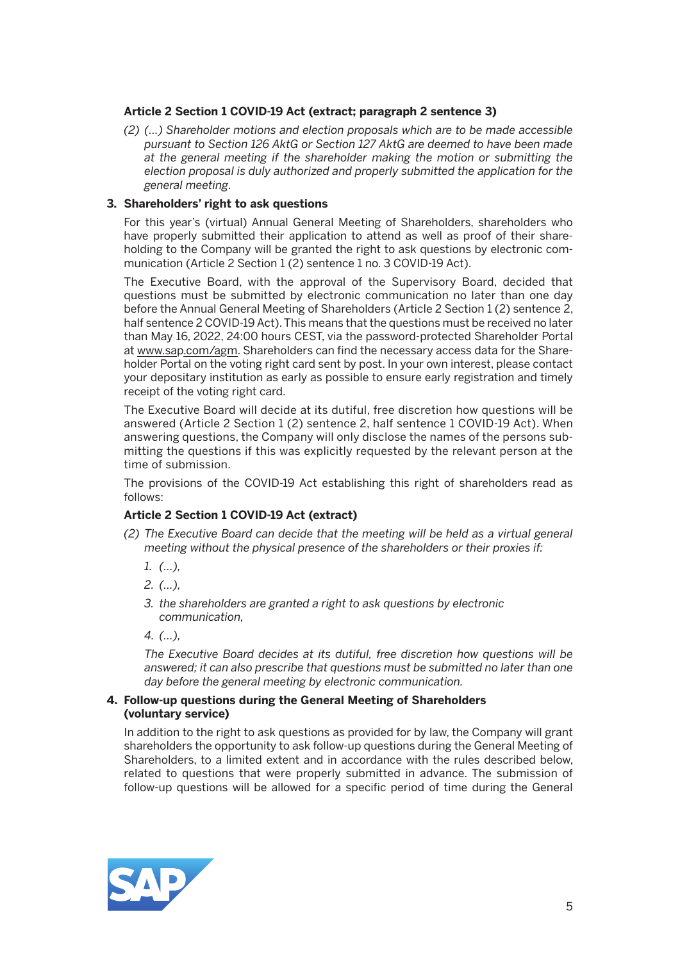# **Article 2 Section 1 COVID-19 Act (extract; paragraph 2 sentence 3)**

 *(2) (…) Shareholder motions and election proposals which are to be made accessible pursuant to Section 126 AktG or Section 127 AktG are deemed to have been made at the general meeting if the shareholder making the motion or submitting the election proposal is duly authorized and properly submitted the application for the general meeting.* 

# **3. Shareholders' right to ask questions**

 For this year's (virtual) Annual General Meeting of Shareholders, shareholders who have properly submitted their application to attend as well as proof of their shareholding to the Company will be granted the right to ask questions by electronic communication (Article 2 Section 1 (2) sentence 1 no. 3 COVID-19 Act).

 The Executive Board, with the approval of the Supervisory Board, decided that questions must be submitted by electronic communication no later than one day before the Annual General Meeting of Shareholders (Article 2 Section 1 (2) sentence 2, half sentence 2 COVID-19 Act). This means that the questions must be received no later than May 16, 2022, 24:00 hours CEST, via the password-protected Shareholder Portal at www.sap.com/agm. Shareholders can find the necessary access data for the Shareholder Portal on the voting right card sent by post. In your own interest, please contact your depositary institution as early as possible to ensure early registration and timely receipt of the voting right card.

 The Executive Board will decide at its dutiful, free discretion how questions will be answered (Article 2 Section 1 (2) sentence 2, half sentence 1 COVID-19 Act). When answering questions, the Company will only disclose the names of the persons submitting the questions if this was explicitly requested by the relevant person at the time of submission.

 The provisions of the COVID-19 Act establishing this right of shareholders read as follows:

# **Article 2 Section 1 COVID-19 Act (extract)**

- *(2) The Executive Board can decide that the meeting will be held as a virtual general meeting without the physical presence of the shareholders or their proxies if:* 
	- *1. (…),*
	- *2. (…),*
	- *3. the shareholders are granted a right to ask questions by electronic communication,*

 *4. (…),*

 *The Executive Board decides at its dutiful, free discretion how questions will be answered; it can also prescribe that questions must be submitted no later than one day before the general meeting by electronic communication.* 

#### **4. Follow-up questions during the General Meeting of Shareholders (voluntary service)**

 In addition to the right to ask questions as provided for by law, the Company will grant shareholders the opportunity to ask follow-up questions during the General Meeting of Shareholders, to a limited extent and in accordance with the rules described below, related to questions that were properly submitted in advance. The submission of follow-up questions will be allowed for a specific period of time during the General